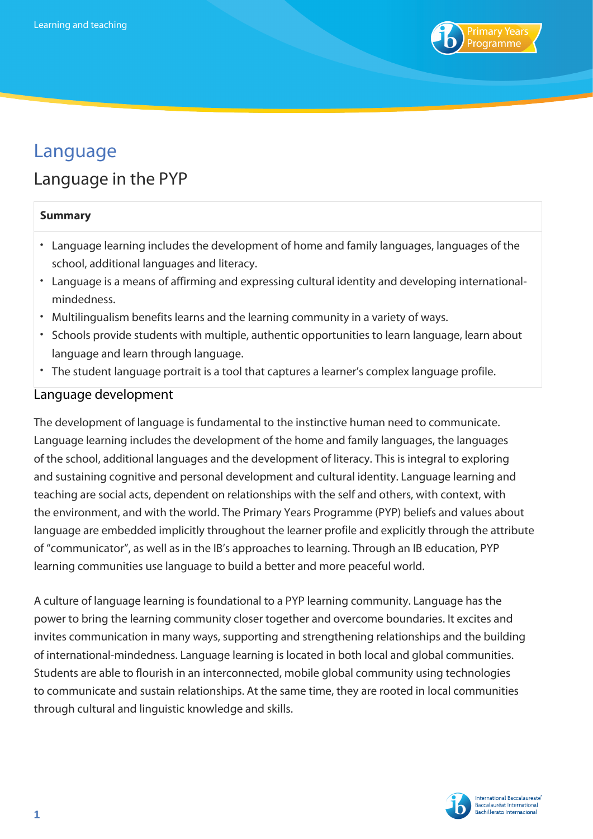

# Language

## Language in the PYP

#### **Summary**

- Language learning includes the development of home and family languages, languages of the school, additional languages and literacy.
- Language is a means of affirming and expressing cultural identity and developing internationalmindedness.
- Multilingualism benefits learns and the learning community in a variety of ways.
- Schools provide students with multiple, authentic opportunities to learn language, learn about language and learn through language.
- The student language portrait is a tool that captures a learner's complex language profile.

### Language development

The development of language is fundamental to the instinctive human need to communicate. Language learning includes the development of the home and family languages, the languages of the school, additional languages and the development of literacy. This is integral to exploring and sustaining cognitive and personal development and cultural identity. Language learning and teaching are social acts, dependent on relationships with the self and others, with context, with the environment, and with the world. The Primary Years Programme (PYP) beliefs and values about language are embedded implicitly throughout the learner profile and explicitly through the attribute of "communicator", as well as in the IB's approaches to learning. Through an IB education, PYP learning communities use language to build a better and more peaceful world.

A culture of language learning is foundational to a PYP learning community. Language has the power to bring the learning community closer together and overcome boundaries. It excites and invites communication in many ways, supporting and strengthening relationships and the building of international-mindedness. Language learning is located in both local and global communities. Students are able to flourish in an interconnected, mobile global community using technologies to communicate and sustain relationships. At the same time, they are rooted in local communities through cultural and linguistic knowledge and skills.

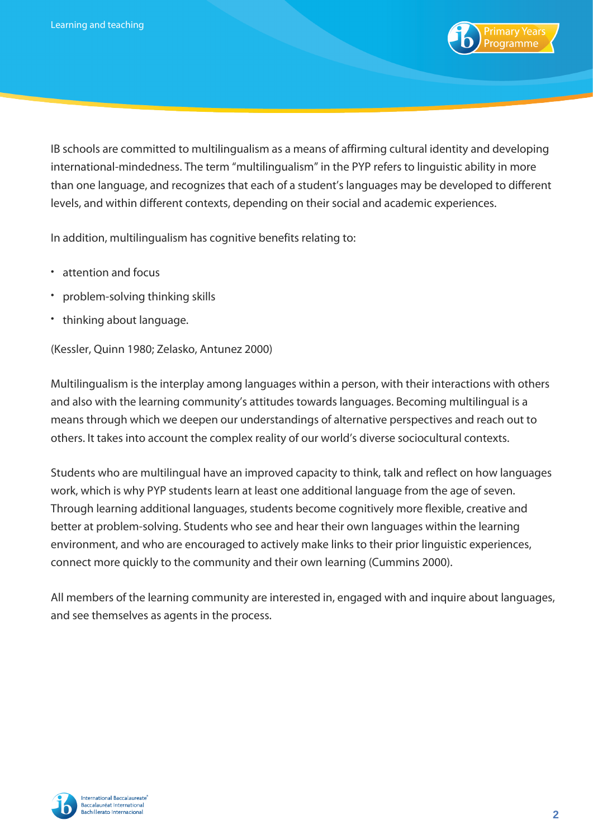

IB schools are committed to multilingualism as a means of affirming cultural identity and developing international-mindedness. The term "multilingualism" in the PYP refers to linguistic ability in more than one language, and recognizes that each of a student's languages may be developed to different levels, and within different contexts, depending on their social and academic experiences.

In addition, multilingualism has cognitive benefits relating to:

- attention and focus
- problem-solving thinking skills
- thinking about language.

(Kessler, Quinn 1980; Zelasko, Antunez 2000)

Multilingualism is the interplay among languages within a person, with their interactions with others and also with the learning community's attitudes towards languages. Becoming multilingual is a means through which we deepen our understandings of alternative perspectives and reach out to others. It takes into account the complex reality of our world's diverse sociocultural contexts.

Students who are multilingual have an improved capacity to think, talk and reflect on how languages work, which is why PYP students learn at least one additional language from the age of seven. Through learning additional languages, students become cognitively more flexible, creative and better at problem-solving. Students who see and hear their own languages within the learning environment, and who are encouraged to actively make links to their prior linguistic experiences, connect more quickly to the community and their own learning (Cummins 2000).

All members of the learning community are interested in, engaged with and inquire about languages, and see themselves as agents in the process.

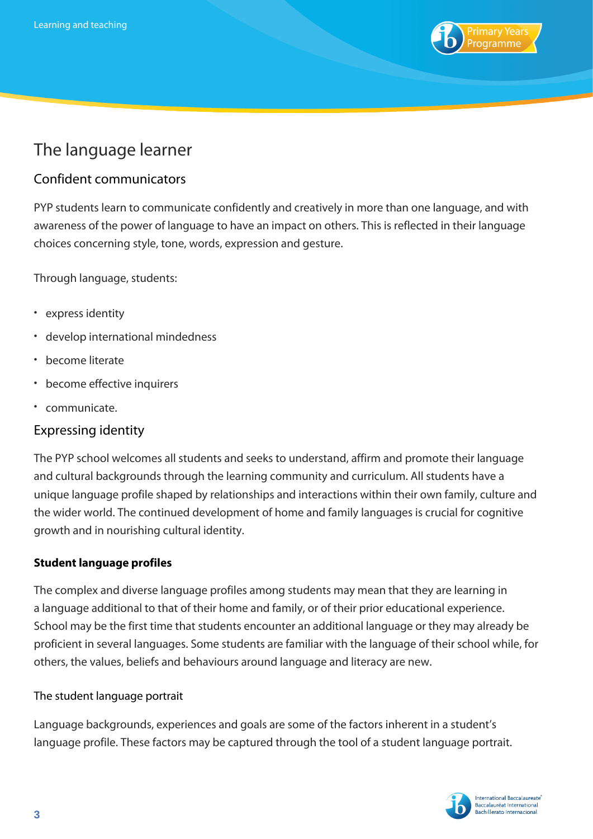

## The language learner

## Confident communicators

PYP students learn to communicate confidently and creatively in more than one language, and with awareness of the power of language to have an impact on others. This is reflected in their language choices concerning style, tone, words, expression and gesture.

Through language, students:

- express identity
- develop international mindedness
- become literate
- become effective inquirers
- communicate.

## Expressing identity

The PYP school welcomes all students and seeks to understand, affirm and promote their language and cultural backgrounds through the learning community and curriculum. All students have a unique language profile shaped by relationships and interactions within their own family, culture and the wider world. The continued development of home and family languages is crucial for cognitive growth and in nourishing cultural identity.

### **Student language profiles**

The complex and diverse language profiles among students may mean that they are learning in a language additional to that of their home and family, or of their prior educational experience. School may be the first time that students encounter an additional language or they may already be proficient in several languages. Some students are familiar with the language of their school while, for others, the values, beliefs and behaviours around language and literacy are new.

#### The student language portrait

Language backgrounds, experiences and goals are some of the factors inherent in a student's language profile. These factors may be captured through the tool of a student language portrait.

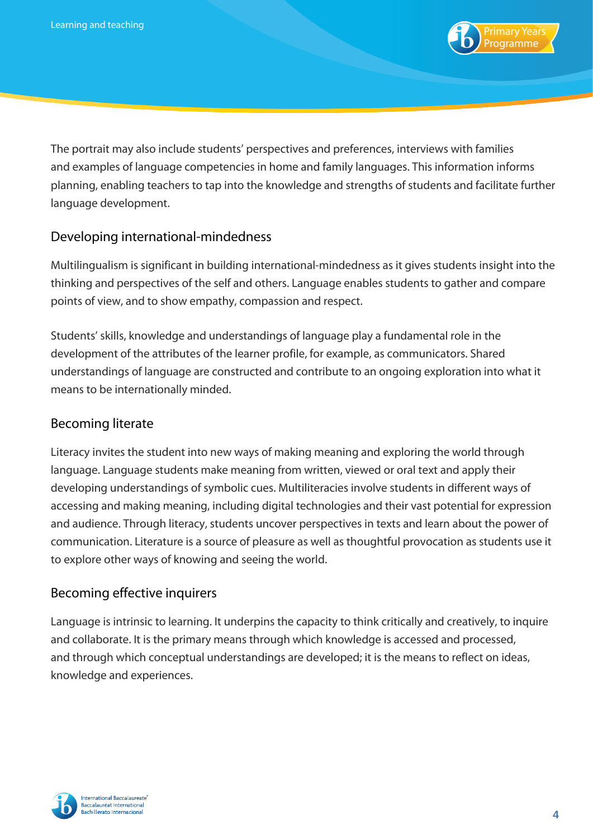

The portrait may also include students' perspectives and preferences, interviews with families and examples of language competencies in home and family languages. This information informs planning, enabling teachers to tap into the knowledge and strengths of students and facilitate further language development.

## Developing international-mindedness

Multilingualism is significant in building international-mindedness as it gives students insight into the thinking and perspectives of the self and others. Language enables students to gather and compare points of view, and to show empathy, compassion and respect.

Students' skills, knowledge and understandings of language play a fundamental role in the development of the attributes of the learner profile, for example, as communicators. Shared understandings of language are constructed and contribute to an ongoing exploration into what it means to be internationally minded.

## Becoming literate

Literacy invites the student into new ways of making meaning and exploring the world through language. Language students make meaning from written, viewed or oral text and apply their developing understandings of symbolic cues. Multiliteracies involve students in different ways of accessing and making meaning, including digital technologies and their vast potential for expression and audience. Through literacy, students uncover perspectives in texts and learn about the power of communication. Literature is a source of pleasure as well as thoughtful provocation as students use it to explore other ways of knowing and seeing the world.

### Becoming effective inquirers

Language is intrinsic to learning. It underpins the capacity to think critically and creatively, to inquire and collaborate. It is the primary means through which knowledge is accessed and processed, and through which conceptual understandings are developed; it is the means to reflect on ideas, knowledge and experiences.

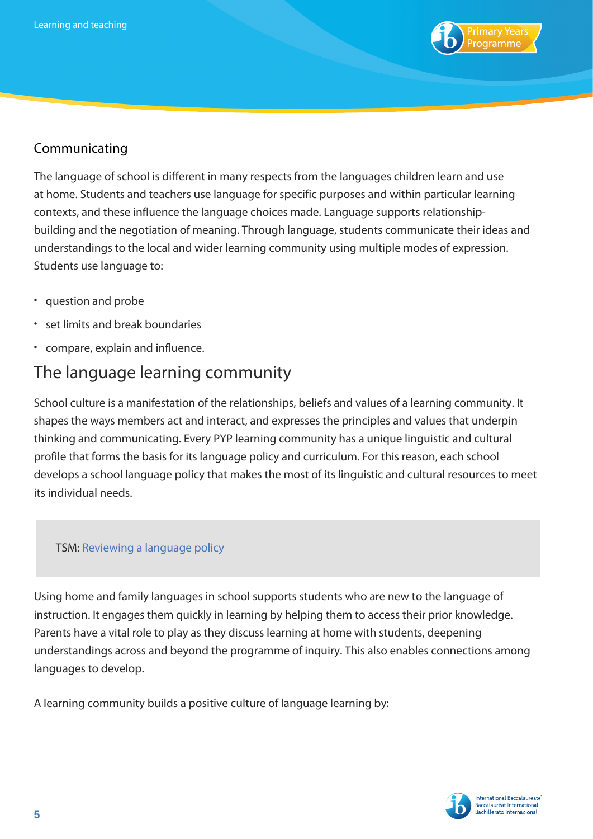

## Communicating

The language of school is different in many respects from the languages children learn and use at home. Students and teachers use language for specific purposes and within particular learning contexts, and these influence the language choices made. Language supports relationshipbuilding and the negotiation of meaning. Through language, students communicate their ideas and understandings to the local and wider learning community using multiple modes of expression. Students use language to:

- question and probe
- set limits and break boundaries
- compare, explain and influence.

## The language learning community

School culture is a manifestation of the relationships, beliefs and values of a learning community. It shapes the ways members act and interact, and expresses the principles and values that underpin thinking and communicating. Every PYP learning community has a unique linguistic and cultural profile that forms the basis for its language policy and curriculum. For this reason, each school develops a school language policy that makes the most of its linguistic and cultural resources to meet its individual needs.

### TSM: [Reviewing a language policy](https://resources.ibo.org/pyp/tsm-overview/Teacher-support-materials/works/pyp_11162-51666)

Using home and family languages in school supports students who are new to the language of instruction. It engages them quickly in learning by helping them to access their prior knowledge. Parents have a vital role to play as they discuss learning at home with students, deepening understandings across and beyond the programme of inquiry. This also enables connections among languages to develop.

A learning community builds a positive culture of language learning by:

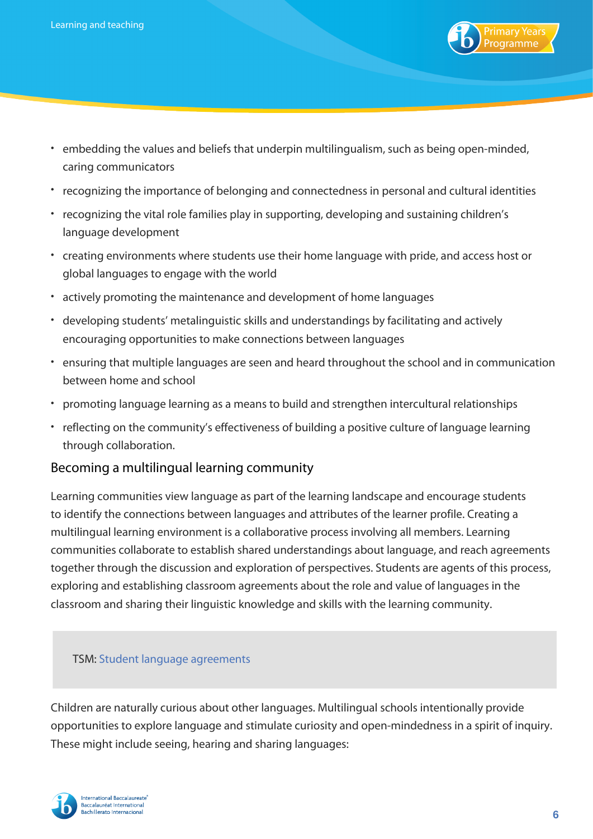

- embedding the values and beliefs that underpin multilingualism, such as being open-minded, caring communicators
- recognizing the importance of belonging and connectedness in personal and cultural identities
- recognizing the vital role families play in supporting, developing and sustaining children's language development
- creating environments where students use their home language with pride, and access host or global languages to engage with the world
- actively promoting the maintenance and development of home languages
- developing students' metalinguistic skills and understandings by facilitating and actively encouraging opportunities to make connections between languages
- ensuring that multiple languages are seen and heard throughout the school and in communication between home and school
- promoting language learning as a means to build and strengthen intercultural relationships
- reflecting on the community's effectiveness of building a positive culture of language learning through collaboration.

## Becoming a multilingual learning community

Learning communities view language as part of the learning landscape and encourage students to identify the connections between languages and attributes of the learner profile. Creating a multilingual learning environment is a collaborative process involving all members. Learning communities collaborate to establish shared understandings about language, and reach agreements together through the discussion and exploration of perspectives. Students are agents of this process, exploring and establishing classroom agreements about the role and value of languages in the classroom and sharing their linguistic knowledge and skills with the learning community.

#### TSM: [Student language agreements](https://resources.ibo.org/pyp/tsm-overview/Teacher-support-materials/works/pyp_11162-51682)

Children are naturally curious about other languages. Multilingual schools intentionally provide opportunities to explore language and stimulate curiosity and open-mindedness in a spirit of inquiry. These might include seeing, hearing and sharing languages:

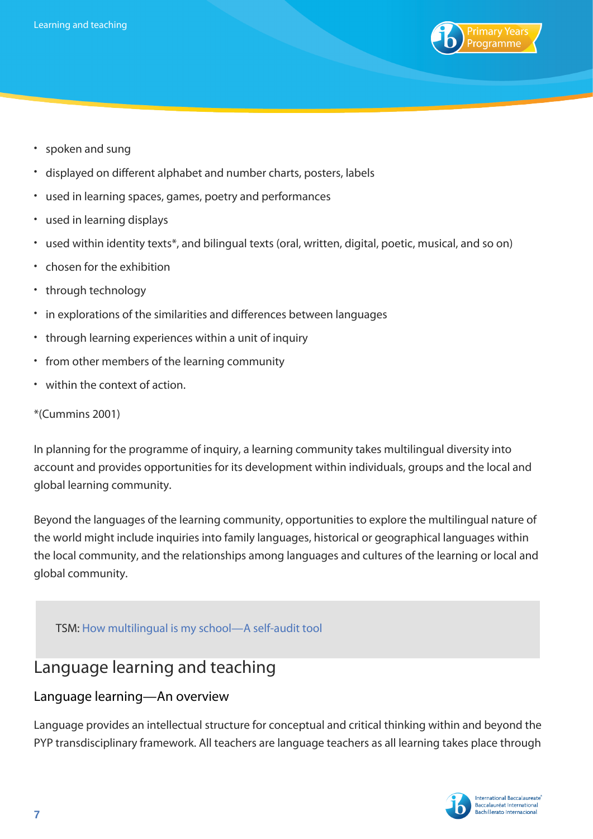

- spoken and sung
- displayed on different alphabet and number charts, posters, labels
- used in learning spaces, games, poetry and performances
- used in learning displays
- used within identity texts\*, and bilingual texts (oral, written, digital, poetic, musical, and so on)
- chosen for the exhibition
- through technology
- in explorations of the similarities and differences between languages
- through learning experiences within a unit of inquiry
- from other members of the learning community
- within the context of action.

#### \*(Cummins 2001)

In planning for the programme of inquiry, a learning community takes multilingual diversity into account and provides opportunities for its development within individuals, groups and the local and global learning community.

Beyond the languages of the learning community, opportunities to explore the multilingual nature of the world might include inquiries into family languages, historical or geographical languages within the local community, and the relationships among languages and cultures of the learning or local and global community.

TSM: [How multilingual is my school—A self-audit tool](https://resources.ibo.org/pyp/tsm-overview/Teacher-support-materials/works/pyp_11162-51668)

## Language learning and teaching

## Language learning—An overview

Language provides an intellectual structure for conceptual and critical thinking within and beyond the PYP transdisciplinary framework. All teachers are language teachers as all learning takes place through

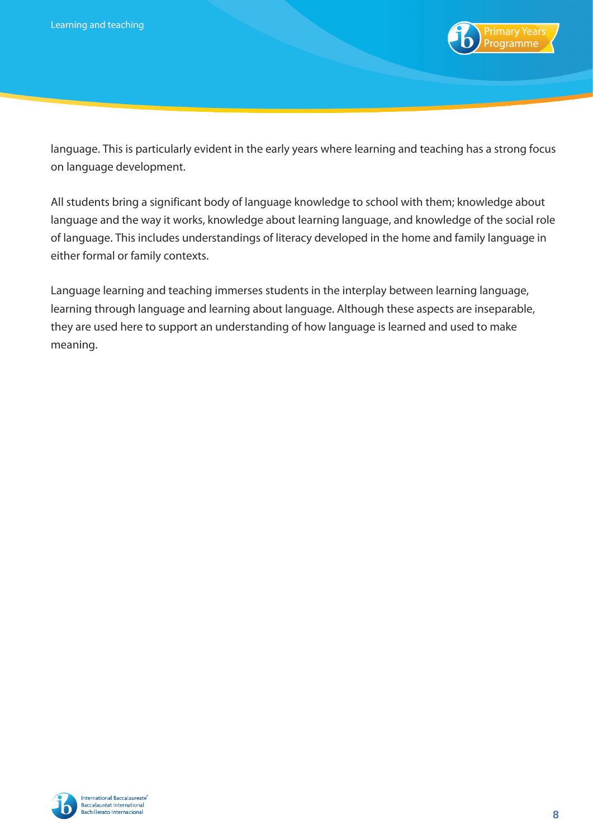

language. This is particularly evident in the early years where learning and teaching has a strong focus on language development.

All students bring a significant body of language knowledge to school with them; knowledge about language and the way it works, knowledge about learning language, and knowledge of the social role of language. This includes understandings of literacy developed in the home and family language in either formal or family contexts.

Language learning and teaching immerses students in the interplay between learning language, learning through language and learning about language. Although these aspects are inseparable, they are used here to support an understanding of how language is learned and used to make meaning.

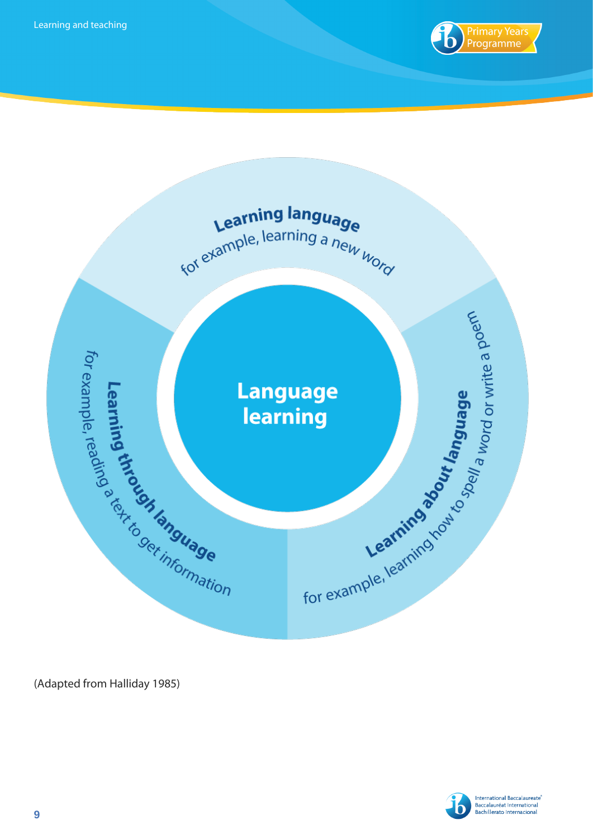



(Adapted from Halliday 1985)

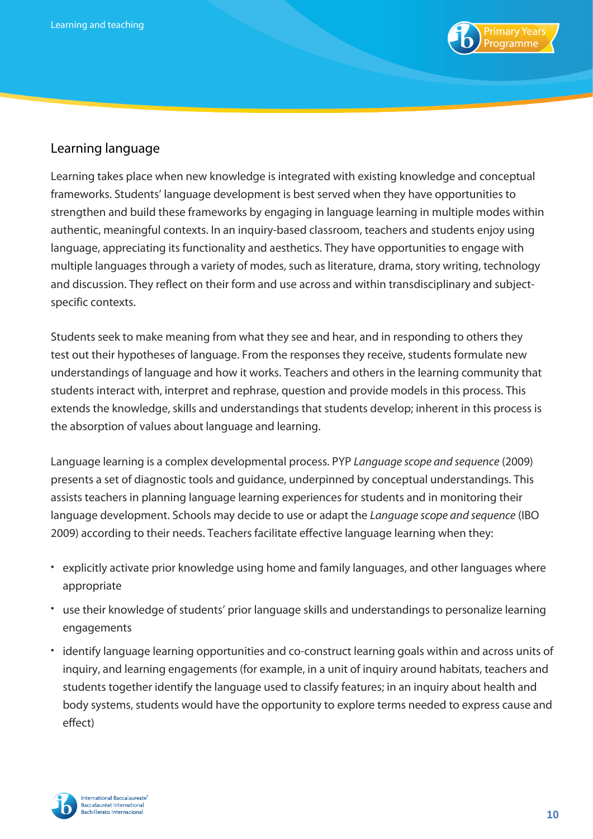

## Learning language

Learning takes place when new knowledge is integrated with existing knowledge and conceptual frameworks. Students' language development is best served when they have opportunities to strengthen and build these frameworks by engaging in language learning in multiple modes within authentic, meaningful contexts. In an inquiry-based classroom, teachers and students enjoy using language, appreciating its functionality and aesthetics. They have opportunities to engage with multiple languages through a variety of modes, such as literature, drama, story writing, technology and discussion. They reflect on their form and use across and within transdisciplinary and subjectspecific contexts.

Students seek to make meaning from what they see and hear, and in responding to others they test out their hypotheses of language. From the responses they receive, students formulate new understandings of language and how it works. Teachers and others in the learning community that students interact with, interpret and rephrase, question and provide models in this process. This extends the knowledge, skills and understandings that students develop; inherent in this process is the absorption of values about language and learning.

Language learning is a complex developmental process. PYP *Language scope and sequence* (2009) presents a set of diagnostic tools and guidance, underpinned by conceptual understandings. This assists teachers in planning language learning experiences for students and in monitoring their language development. Schools may decide to use or adapt the *Language scope and sequence* (IBO 2009) according to their needs. Teachers facilitate effective language learning when they:

- explicitly activate prior knowledge using home and family languages, and other languages where appropriate
- use their knowledge of students' prior language skills and understandings to personalize learning engagements
- identify language learning opportunities and co-construct learning goals within and across units of inquiry, and learning engagements (for example, in a unit of inquiry around habitats, teachers and students together identify the language used to classify features; in an inquiry about health and body systems, students would have the opportunity to explore terms needed to express cause and effect)

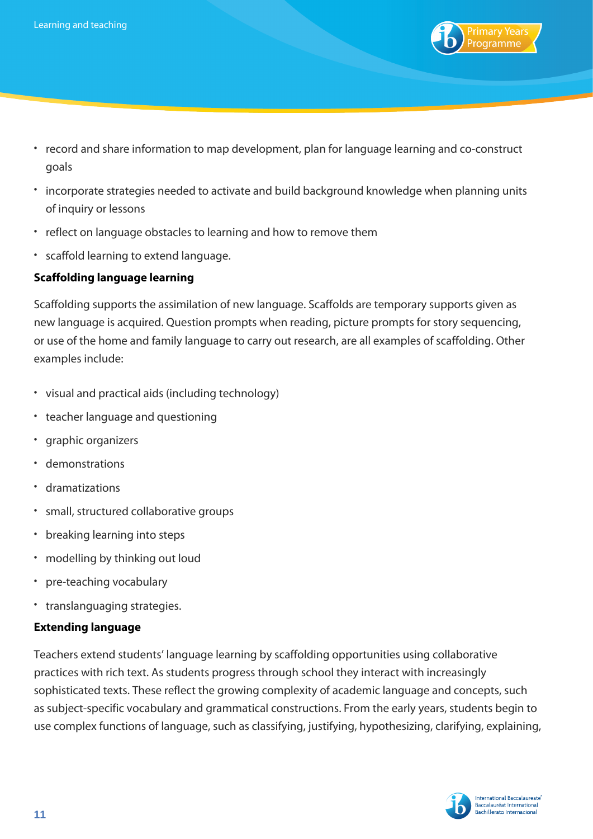

- record and share information to map development, plan for language learning and co-construct goals
- incorporate strategies needed to activate and build background knowledge when planning units of inquiry or lessons
- reflect on language obstacles to learning and how to remove them
- scaffold learning to extend language.

### **Scaffolding language learning**

Scaffolding supports the assimilation of new language. Scaffolds are temporary supports given as new language is acquired. Question prompts when reading, picture prompts for story sequencing, or use of the home and family language to carry out research, are all examples of scaffolding. Other examples include:

- visual and practical aids (including technology)
- teacher language and questioning
- graphic organizers
- demonstrations
- dramatizations
- small, structured collaborative groups
- breaking learning into steps
- modelling by thinking out loud
- pre-teaching vocabulary
- translanguaging strategies.

#### **Extending language**

Teachers extend students' language learning by scaffolding opportunities using collaborative practices with rich text. As students progress through school they interact with increasingly sophisticated texts. These reflect the growing complexity of academic language and concepts, such as subject-specific vocabulary and grammatical constructions. From the early years, students begin to use complex functions of language, such as classifying, justifying, hypothesizing, clarifying, explaining,

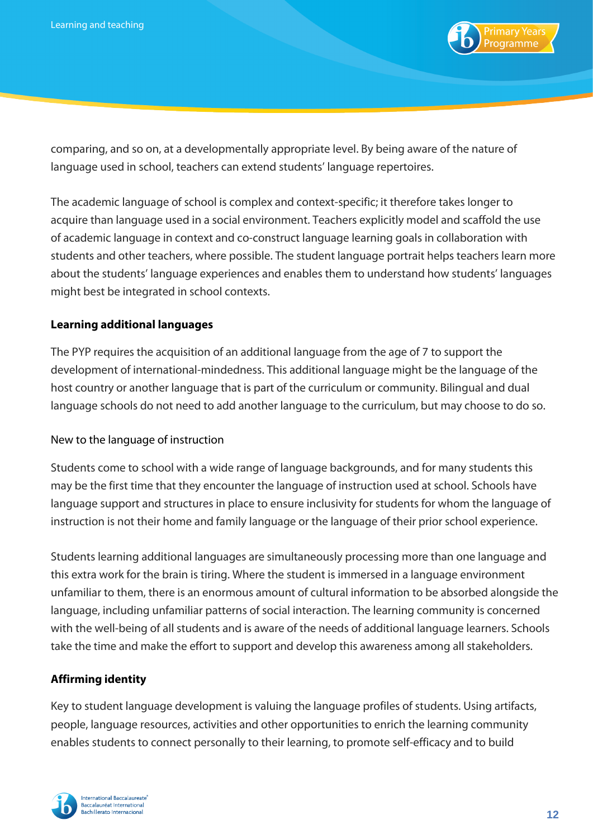

comparing, and so on, at a developmentally appropriate level. By being aware of the nature of language used in school, teachers can extend students' language repertoires.

The academic language of school is complex and context-specific; it therefore takes longer to acquire than language used in a social environment. Teachers explicitly model and scaffold the use of academic language in context and co-construct language learning goals in collaboration with students and other teachers, where possible. The student language portrait helps teachers learn more about the students' language experiences and enables them to understand how students' languages might best be integrated in school contexts.

#### **Learning additional languages**

The PYP requires the acquisition of an additional language from the age of 7 to support the development of international-mindedness. This additional language might be the language of the host country or another language that is part of the curriculum or community. Bilingual and dual language schools do not need to add another language to the curriculum, but may choose to do so.

#### New to the language of instruction

Students come to school with a wide range of language backgrounds, and for many students this may be the first time that they encounter the language of instruction used at school. Schools have language support and structures in place to ensure inclusivity for students for whom the language of instruction is not their home and family language or the language of their prior school experience.

Students learning additional languages are simultaneously processing more than one language and this extra work for the brain is tiring. Where the student is immersed in a language environment unfamiliar to them, there is an enormous amount of cultural information to be absorbed alongside the language, including unfamiliar patterns of social interaction. The learning community is concerned with the well-being of all students and is aware of the needs of additional language learners. Schools take the time and make the effort to support and develop this awareness among all stakeholders.

### **Affirming identity**

Key to student language development is valuing the language profiles of students. Using artifacts, people, language resources, activities and other opportunities to enrich the learning community enables students to connect personally to their learning, to promote self-efficacy and to build

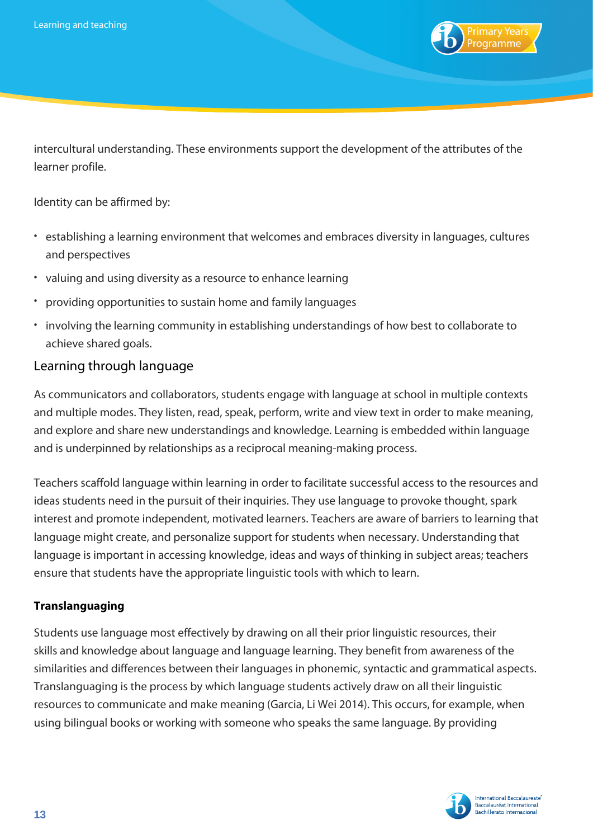

intercultural understanding. These environments support the development of the attributes of the learner profile.

Identity can be affirmed by:

- establishing a learning environment that welcomes and embraces diversity in languages, cultures and perspectives
- valuing and using diversity as a resource to enhance learning
- providing opportunities to sustain home and family languages
- involving the learning community in establishing understandings of how best to collaborate to achieve shared goals.

## Learning through language

As communicators and collaborators, students engage with language at school in multiple contexts and multiple modes. They listen, read, speak, perform, write and view text in order to make meaning, and explore and share new understandings and knowledge. Learning is embedded within language and is underpinned by relationships as a reciprocal meaning-making process.

Teachers scaffold language within learning in order to facilitate successful access to the resources and ideas students need in the pursuit of their inquiries. They use language to provoke thought, spark interest and promote independent, motivated learners. Teachers are aware of barriers to learning that language might create, and personalize support for students when necessary. Understanding that language is important in accessing knowledge, ideas and ways of thinking in subject areas; teachers ensure that students have the appropriate linguistic tools with which to learn.

### **Translanguaging**

Students use language most effectively by drawing on all their prior linguistic resources, their skills and knowledge about language and language learning. They benefit from awareness of the similarities and differences between their languages in phonemic, syntactic and grammatical aspects. Translanguaging is the process by which language students actively draw on all their linguistic resources to communicate and make meaning (Garcia, Li Wei 2014). This occurs, for example, when using bilingual books or working with someone who speaks the same language. By providing

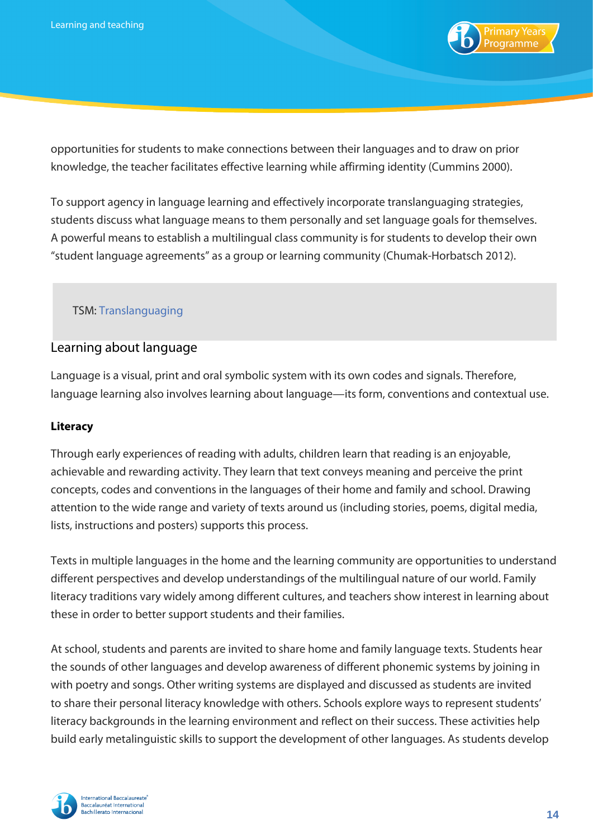

opportunities for students to make connections between their languages and to draw on prior knowledge, the teacher facilitates effective learning while affirming identity (Cummins 2000).

To support agency in language learning and effectively incorporate translanguaging strategies, students discuss what language means to them personally and set language goals for themselves. A powerful means to establish a multilingual class community is for students to develop their own "student language agreements" as a group or learning community (Chumak-Horbatsch 2012).

## TSM: [Translanguaging](https://resources.ibo.org/pyp/tsm-overview/Teacher-support-materials/works/pyp_11162-51667)

## Learning about language

Language is a visual, print and oral symbolic system with its own codes and signals. Therefore, language learning also involves learning about language—its form, conventions and contextual use.

#### **Literacy**

Through early experiences of reading with adults, children learn that reading is an enjoyable, achievable and rewarding activity. They learn that text conveys meaning and perceive the print concepts, codes and conventions in the languages of their home and family and school. Drawing attention to the wide range and variety of texts around us (including stories, poems, digital media, lists, instructions and posters) supports this process.

Texts in multiple languages in the home and the learning community are opportunities to understand different perspectives and develop understandings of the multilingual nature of our world. Family literacy traditions vary widely among different cultures, and teachers show interest in learning about these in order to better support students and their families.

At school, students and parents are invited to share home and family language texts. Students hear the sounds of other languages and develop awareness of different phonemic systems by joining in with poetry and songs. Other writing systems are displayed and discussed as students are invited to share their personal literacy knowledge with others. Schools explore ways to represent students' literacy backgrounds in the learning environment and reflect on their success. These activities help build early metalinguistic skills to support the development of other languages. As students develop

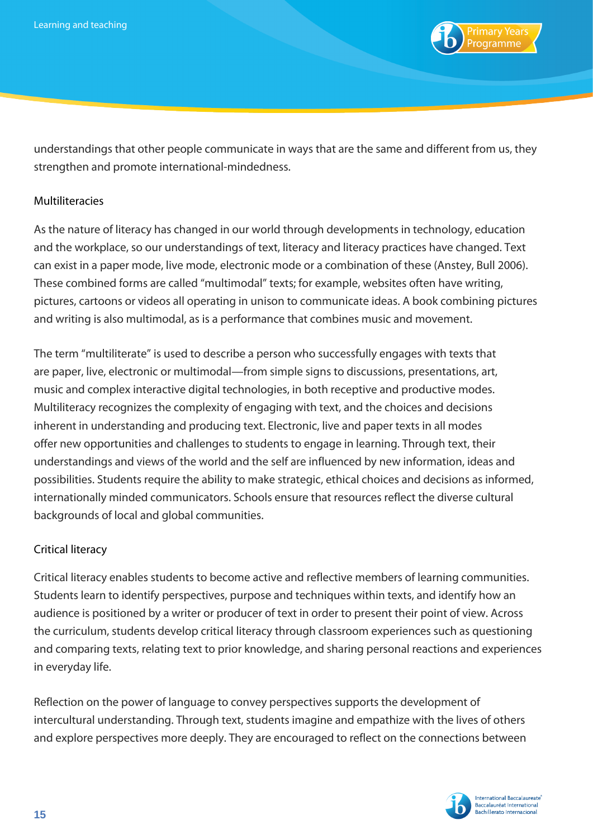

understandings that other people communicate in ways that are the same and different from us, they strengthen and promote international-mindedness.

#### Multiliteracies

As the nature of literacy has changed in our world through developments in technology, education and the workplace, so our understandings of text, literacy and literacy practices have changed. Text can exist in a paper mode, live mode, electronic mode or a combination of these (Anstey, Bull 2006). These combined forms are called "multimodal" texts; for example, websites often have writing, pictures, cartoons or videos all operating in unison to communicate ideas. A book combining pictures and writing is also multimodal, as is a performance that combines music and movement.

The term "multiliterate" is used to describe a person who successfully engages with texts that are paper, live, electronic or multimodal—from simple signs to discussions, presentations, art, music and complex interactive digital technologies, in both receptive and productive modes. Multiliteracy recognizes the complexity of engaging with text, and the choices and decisions inherent in understanding and producing text. Electronic, live and paper texts in all modes offer new opportunities and challenges to students to engage in learning. Through text, their understandings and views of the world and the self are influenced by new information, ideas and possibilities. Students require the ability to make strategic, ethical choices and decisions as informed, internationally minded communicators. Schools ensure that resources reflect the diverse cultural backgrounds of local and global communities.

#### Critical literacy

Critical literacy enables students to become active and reflective members of learning communities. Students learn to identify perspectives, purpose and techniques within texts, and identify how an audience is positioned by a writer or producer of text in order to present their point of view. Across the curriculum, students develop critical literacy through classroom experiences such as questioning and comparing texts, relating text to prior knowledge, and sharing personal reactions and experiences in everyday life.

Reflection on the power of language to convey perspectives supports the development of intercultural understanding. Through text, students imagine and empathize with the lives of others and explore perspectives more deeply. They are encouraged to reflect on the connections between

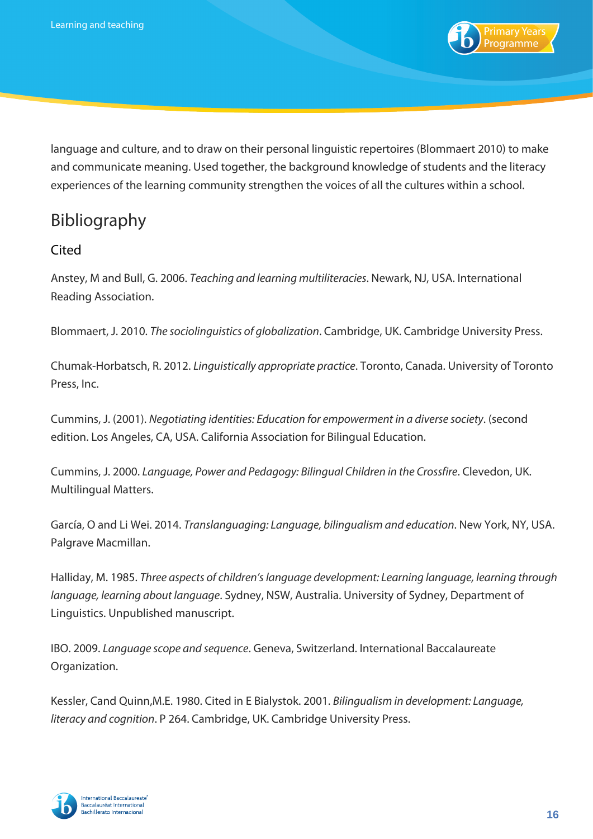

language and culture, and to draw on their personal linguistic repertoires (Blommaert 2010) to make and communicate meaning. Used together, the background knowledge of students and the literacy experiences of the learning community strengthen the voices of all the cultures within a school.

# Bibliography

## Cited

Anstey, M and Bull, G. 2006. *Teaching and learning multiliteracies*. Newark, NJ, USA. International Reading Association.

Blommaert, J. 2010. *The sociolinguistics of globalization*. Cambridge, UK. Cambridge University Press.

Chumak-Horbatsch, R. 2012. *Linguistically appropriate practice*. Toronto, Canada. University of Toronto Press, Inc.

Cummins, J. (2001). *Negotiating identities: Education for empowerment in a diverse society*. (second edition. Los Angeles, CA, USA. California Association for Bilingual Education.

Cummins, J. 2000. *Language, Power and Pedagogy: Bilingual Children in the Crossfire*. Clevedon, UK. Multilingual Matters.

García, O and Li Wei. 2014. *Translanguaging: Language, bilingualism and education*. New York, NY, USA. Palgrave Macmillan.

Halliday, M. 1985. *Three aspects of children's language development: Learning language, learning through language, learning about language*. Sydney, NSW, Australia. University of Sydney, Department of Linguistics. Unpublished manuscript.

IBO. 2009. *Language scope and sequence*. Geneva, Switzerland. International Baccalaureate Organization.

Kessler, Cand Quinn,M.E. 1980. Cited in E Bialystok. 2001. *Bilingualism in development: Language, literacy and cognition*. P 264. Cambridge, UK. Cambridge University Press.

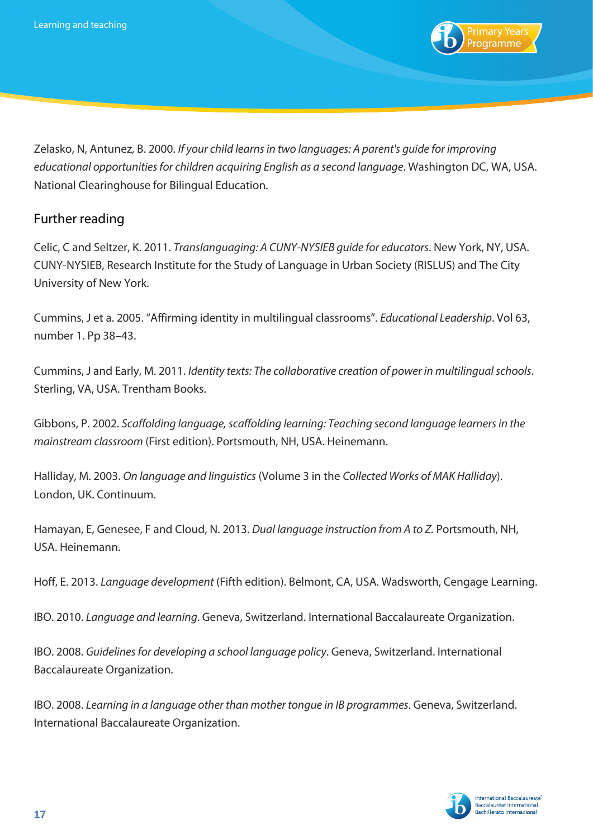

Zelasko, N, Antunez, B. 2000. *If your child learns in two languages: A parent's guide for improving educational opportunities for children acquiring English as a second language*. Washington DC, WA, USA. National Clearinghouse for Bilingual Education.

## Further reading

Celic, C and Seltzer, K. 2011. *Translanguaging: A CUNY-NYSIEB guide for educators*. New York, NY, USA. CUNY-NYSIEB, Research Institute for the Study of Language in Urban Society (RISLUS) and The City University of New York.

Cummins, J et a. 2005. "Affirming identity in multilingual classrooms". *Educational Leadership*. Vol 63, number 1. Pp 38–43.

Cummins, J and Early, M. 2011. *Identity texts: The collaborative creation of power in multilingual schools*. Sterling, VA, USA. Trentham Books.

Gibbons, P. 2002. *Scaffolding language, scaffolding learning: Teaching second language learners in the mainstream classroom* (First edition). Portsmouth, NH, USA. Heinemann.

Halliday, M. 2003. *On language and linguistics* (Volume 3 in the *Collected Works of MAK Halliday*). London, UK. Continuum.

Hamayan, E, Genesee, F and Cloud, N. 2013. *Dual language instruction from A to Z.* Portsmouth, NH, USA. Heinemann.

Hoff, E. 2013. *Language development* (Fifth edition). Belmont, CA, USA. Wadsworth, Cengage Learning.

IBO. 2010. *Language and learning*. Geneva, Switzerland. International Baccalaureate Organization.

IBO. 2008. *Guidelines for developing a school language policy*. Geneva, Switzerland. International Baccalaureate Organization.

IBO. 2008. *Learning in a language other than mother tongue in IB programmes*. Geneva, Switzerland. International Baccalaureate Organization.

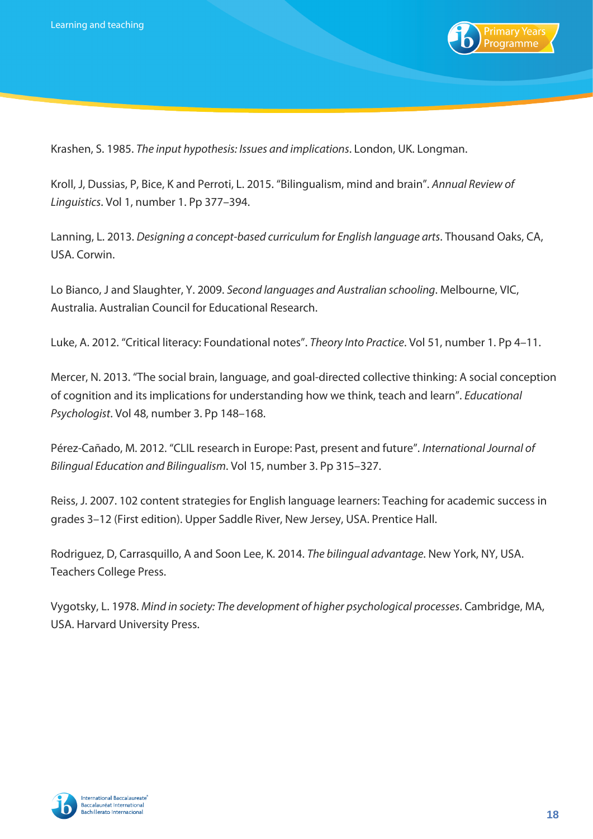

Krashen, S. 1985. *The input hypothesis: Issues and implications*. London, UK. Longman.

Kroll, J, Dussias, P, Bice, K and Perroti, L. 2015. "Bilingualism, mind and brain". *Annual Review of Linguistics*. Vol 1, number 1. Pp 377–394.

Lanning, L. 2013. *Designing a concept-based curriculum for English language arts*. Thousand Oaks, CA, USA. Corwin.

Lo Bianco, J and Slaughter, Y. 2009. *Second languages and Australian schooling*. Melbourne, VIC, Australia. Australian Council for Educational Research.

Luke, A. 2012. "Critical literacy: Foundational notes". *Theory Into Practice*. Vol 51, number 1. Pp 4–11.

Mercer, N. 2013. "The social brain, language, and goal-directed collective thinking: A social conception of cognition and its implications for understanding how we think, teach and learn". *Educational Psychologist*. Vol 48, number 3. Pp 148–168.

Pérez-Cañado, M. 2012. "CLIL research in Europe: Past, present and future". *International Journal of Bilingual Education and Bilingualism*. Vol 15, number 3. Pp 315–327.

Reiss, J. 2007. 102 content strategies for English language learners: Teaching for academic success in grades 3–12 (First edition). Upper Saddle River, New Jersey, USA. Prentice Hall.

Rodriguez, D, Carrasquillo, A and Soon Lee, K. 2014. *The bilingual advantage*. New York, NY, USA. Teachers College Press.

Vygotsky, L. 1978. *Mind in society: The development of higher psychological processes*. Cambridge, MA, USA. Harvard University Press.